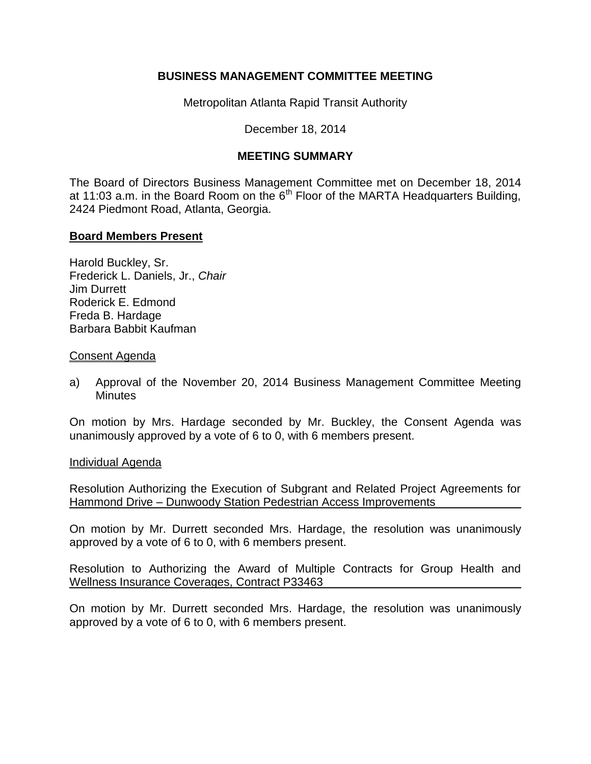## **BUSINESS MANAGEMENT COMMITTEE MEETING**

Metropolitan Atlanta Rapid Transit Authority

December 18, 2014

# **MEETING SUMMARY**

The Board of Directors Business Management Committee met on December 18, 2014 at 11:03 a.m. in the Board Room on the  $6<sup>th</sup>$  Floor of the MARTA Headquarters Building, 2424 Piedmont Road, Atlanta, Georgia.

### **Board Members Present**

Harold Buckley, Sr. Frederick L. Daniels, Jr., *Chair*  Jim Durrett Roderick E. Edmond Freda B. Hardage Barbara Babbit Kaufman

### Consent Agenda

a) Approval of the November 20, 2014 Business Management Committee Meeting **Minutes** 

On motion by Mrs. Hardage seconded by Mr. Buckley, the Consent Agenda was unanimously approved by a vote of 6 to 0, with 6 members present.

### Individual Agenda

Resolution Authorizing the Execution of Subgrant and Related Project Agreements for Hammond Drive – Dunwoody Station Pedestrian Access Improvements

On motion by Mr. Durrett seconded Mrs. Hardage, the resolution was unanimously approved by a vote of 6 to 0, with 6 members present.

Resolution to Authorizing the Award of Multiple Contracts for Group Health and Wellness Insurance Coverages, Contract P33463

On motion by Mr. Durrett seconded Mrs. Hardage, the resolution was unanimously approved by a vote of 6 to 0, with 6 members present.